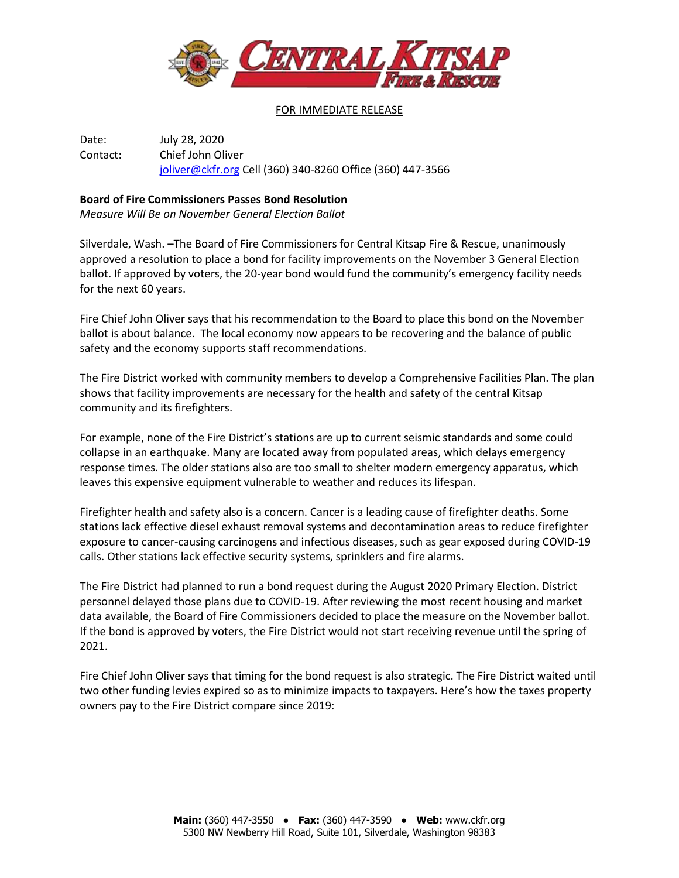

## FOR IMMEDIATE RELEASE

Date: July 28, 2020 Contact: Chief John Oliver [joliver@ckfr.org](mailto:joliver@ckfr.org) Cell (360) 340-8260 Office (360) 447-3566

## **Board of Fire Commissioners Passes Bond Resolution**

*Measure Will Be on November General Election Ballot*

Silverdale, Wash. –The Board of Fire Commissioners for Central Kitsap Fire & Rescue, unanimously approved a resolution to place a bond for facility improvements on the November 3 General Election ballot. If approved by voters, the 20-year bond would fund the community's emergency facility needs for the next 60 years.

Fire Chief John Oliver says that his recommendation to the Board to place this bond on the November ballot is about balance. The local economy now appears to be recovering and the balance of public safety and the economy supports staff recommendations.

The Fire District worked with community members to develop a Comprehensive Facilities Plan. The plan shows that facility improvements are necessary for the health and safety of the central Kitsap community and its firefighters.

For example, none of the Fire District's stations are up to current seismic standards and some could collapse in an earthquake. Many are located away from populated areas, which delays emergency response times. The older stations also are too small to shelter modern emergency apparatus, which leaves this expensive equipment vulnerable to weather and reduces its lifespan.

Firefighter health and safety also is a concern. Cancer is a leading cause of firefighter deaths. Some stations lack effective diesel exhaust removal systems and decontamination areas to reduce firefighter exposure to cancer-causing carcinogens and infectious diseases, such as gear exposed during COVID-19 calls. Other stations lack effective security systems, sprinklers and fire alarms.

The Fire District had planned to run a bond request during the August 2020 Primary Election. District personnel delayed those plans due to COVID-19. After reviewing the most recent housing and market data available, the Board of Fire Commissioners decided to place the measure on the November ballot. If the bond is approved by voters, the Fire District would not start receiving revenue until the spring of 2021.

Fire Chief John Oliver says that timing for the bond request is also strategic. The Fire District waited until two other funding levies expired so as to minimize impacts to taxpayers. Here's how the taxes property owners pay to the Fire District compare since 2019: